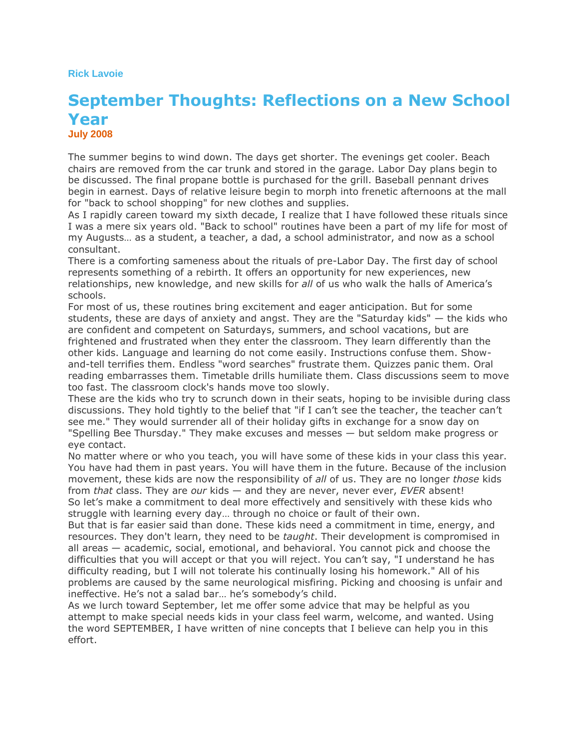#### **Rick Lavoie**

# **September Thoughts: Reflections on a New School Year July 2008**

The summer begins to wind down. The days get shorter. The evenings get cooler. Beach chairs are removed from the car trunk and stored in the garage. Labor Day plans begin to be discussed. The final propane bottle is purchased for the grill. Baseball pennant drives begin in earnest. Days of relative leisure begin to morph into frenetic afternoons at the mall for "back to school shopping" for new clothes and supplies.

As I rapidly careen toward my sixth decade, I realize that I have followed these rituals since I was a mere six years old. "Back to school" routines have been a part of my life for most of my Augusts… as a student, a teacher, a dad, a school administrator, and now as a school consultant.

There is a comforting sameness about the rituals of pre-Labor Day. The first day of school represents something of a rebirth. It offers an opportunity for new experiences, new relationships, new knowledge, and new skills for *all* of us who walk the halls of America's schools.

For most of us, these routines bring excitement and eager anticipation. But for some students, these are days of anxiety and angst. They are the "Saturday kids" — the kids who are confident and competent on Saturdays, summers, and school vacations, but are frightened and frustrated when they enter the classroom. They learn differently than the other kids. Language and learning do not come easily. Instructions confuse them. Showand-tell terrifies them. Endless "word searches" frustrate them. Quizzes panic them. Oral reading embarrasses them. Timetable drills humiliate them. Class discussions seem to move too fast. The classroom clock's hands move too slowly.

These are the kids who try to scrunch down in their seats, hoping to be invisible during class discussions. They hold tightly to the belief that "if I can't see the teacher, the teacher can't see me." They would surrender all of their holiday gifts in exchange for a snow day on "Spelling Bee Thursday." They make excuses and messes — but seldom make progress or eye contact.

No matter where or who you teach, you will have some of these kids in your class this year. You have had them in past years. You will have them in the future. Because of the inclusion movement, these kids are now the responsibility of *all* of us. They are no longer *those* kids from *that* class. They are *our* kids — and they are never, never ever, *EVER* absent! So let's make a commitment to deal more effectively and sensitively with these kids who struggle with learning every day… through no choice or fault of their own.

But that is far easier said than done. These kids need a commitment in time, energy, and resources. They don't learn, they need to be *taught*. Their development is compromised in all areas — academic, social, emotional, and behavioral. You cannot pick and choose the difficulties that you will accept or that you will reject. You can't say, "I understand he has difficulty reading, but I will not tolerate his continually losing his homework." All of his problems are caused by the same neurological misfiring. Picking and choosing is unfair and ineffective. He's not a salad bar… he's somebody's child.

As we lurch toward September, let me offer some advice that may be helpful as you attempt to make special needs kids in your class feel warm, welcome, and wanted. Using the word SEPTEMBER, I have written of nine concepts that I believe can help you in this effort.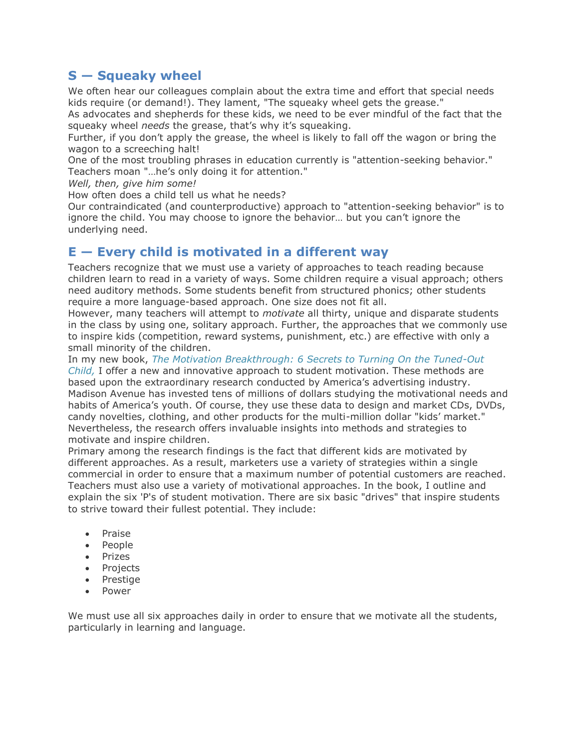# **S — Squeaky wheel**

We often hear our colleagues complain about the extra time and effort that special needs kids require (or demand!). They lament, "The squeaky wheel gets the grease."

As advocates and shepherds for these kids, we need to be ever mindful of the fact that the squeaky wheel *needs* the grease, that's why it's squeaking.

Further, if you don't apply the grease, the wheel is likely to fall off the wagon or bring the wagon to a screeching halt!

One of the most troubling phrases in education currently is "attention-seeking behavior." Teachers moan "…he's only doing it for attention."

*Well, then, give him some!*

How often does a child tell us what he needs?

Our contraindicated (and counterproductive) approach to "attention-seeking behavior" is to ignore the child. You may choose to ignore the behavior… but you can't ignore the underlying need.

## **E — Every child is motivated in a different way**

Teachers recognize that we must use a variety of approaches to teach reading because children learn to read in a variety of ways. Some children require a visual approach; others need auditory methods. Some students benefit from structured phonics; other students require a more language-based approach. One size does not fit all.

However, many teachers will attempt to *motivate* all thirty, unique and disparate students in the class by using one, solitary approach. Further, the approaches that we commonly use to inspire kids (competition, reward systems, punishment, etc.) are effective with only a small minority of the children.

In my new book, *[The Motivation Breakthrough: 6 Secrets to Turning On the Tuned-Out](http://www.learningstore.org/we1149b.html)* 

*[Child,](http://www.learningstore.org/we1149b.html)* I offer a new and innovative approach to student motivation. These methods are based upon the extraordinary research conducted by America's advertising industry. Madison Avenue has invested tens of millions of dollars studying the motivational needs and habits of America's youth. Of course, they use these data to design and market CDs, DVDs, candy novelties, clothing, and other products for the multi-million dollar "kids' market." Nevertheless, the research offers invaluable insights into methods and strategies to motivate and inspire children.

Primary among the research findings is the fact that different kids are motivated by different approaches. As a result, marketers use a variety of strategies within a single commercial in order to ensure that a maximum number of potential customers are reached. Teachers must also use a variety of motivational approaches. In the book, I outline and explain the six 'P's of student motivation. There are six basic "drives" that inspire students to strive toward their fullest potential. They include:

- Praise
- People
- Prizes
- Projects
- Prestige
- Power

We must use all six approaches daily in order to ensure that we motivate all the students, particularly in learning and language.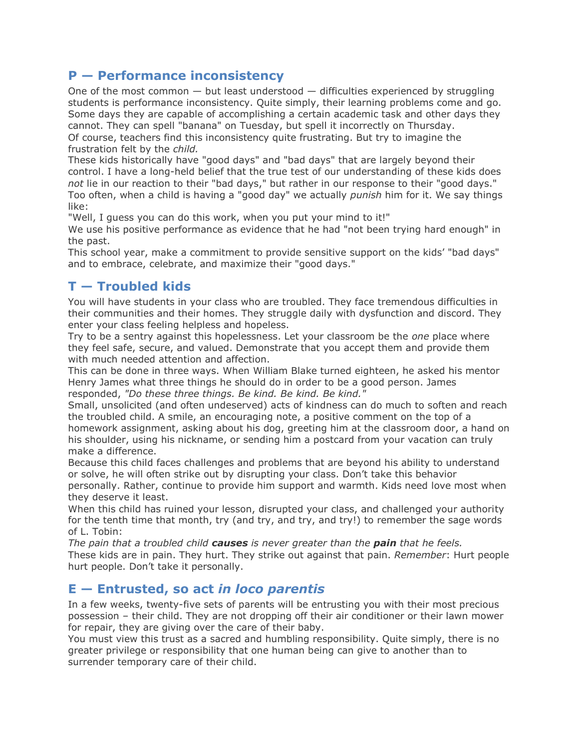## **P — Performance inconsistency**

One of the most common — but least understood — difficulties experienced by struggling students is performance inconsistency. Quite simply, their learning problems come and go. Some days they are capable of accomplishing a certain academic task and other days they cannot. They can spell "banana" on Tuesday, but spell it incorrectly on Thursday. Of course, teachers find this inconsistency quite frustrating. But try to imagine the

frustration felt by the *child.*

These kids historically have "good days" and "bad days" that are largely beyond their control. I have a long-held belief that the true test of our understanding of these kids does *not* lie in our reaction to their "bad days," but rather in our response to their "good days." Too often, when a child is having a "good day" we actually *punish* him for it. We say things like:

"Well, I guess you can do this work, when you put your mind to it!"

We use his positive performance as evidence that he had "not been trying hard enough" in the past.

This school year, make a commitment to provide sensitive support on the kids' "bad days" and to embrace, celebrate, and maximize their "good days."

# **T — Troubled kids**

You will have students in your class who are troubled. They face tremendous difficulties in their communities and their homes. They struggle daily with dysfunction and discord. They enter your class feeling helpless and hopeless.

Try to be a sentry against this hopelessness. Let your classroom be the *one* place where they feel safe, secure, and valued. Demonstrate that you accept them and provide them with much needed attention and affection.

This can be done in three ways. When William Blake turned eighteen, he asked his mentor Henry James what three things he should do in order to be a good person. James responded, *"Do these three things. Be kind. Be kind. Be kind."*

Small, unsolicited (and often undeserved) acts of kindness can do much to soften and reach the troubled child. A smile, an encouraging note, a positive comment on the top of a homework assignment, asking about his dog, greeting him at the classroom door, a hand on his shoulder, using his nickname, or sending him a postcard from your vacation can truly make a difference.

Because this child faces challenges and problems that are beyond his ability to understand or solve, he will often strike out by disrupting your class. Don't take this behavior

personally. Rather, continue to provide him support and warmth. Kids need love most when they deserve it least.

When this child has ruined your lesson, disrupted your class, and challenged your authority for the tenth time that month, try (and try, and try, and try!) to remember the sage words of L. Tobin:

*The pain that a troubled child causes is never greater than the pain that he feels.* These kids are in pain. They hurt. They strike out against that pain. *Remember*: Hurt people hurt people. Don't take it personally.

## **E — Entrusted, so act** *in loco parentis*

In a few weeks, twenty-five sets of parents will be entrusting you with their most precious possession – their child. They are not dropping off their air conditioner or their lawn mower for repair, they are giving over the care of their baby.

You must view this trust as a sacred and humbling responsibility. Quite simply, there is no greater privilege or responsibility that one human being can give to another than to surrender temporary care of their child.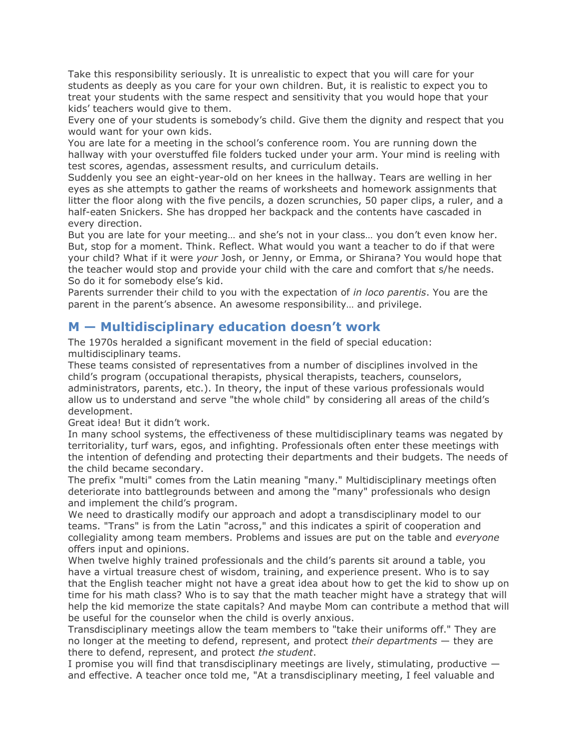Take this responsibility seriously. It is unrealistic to expect that you will care for your students as deeply as you care for your own children. But, it is realistic to expect you to treat your students with the same respect and sensitivity that you would hope that your kids' teachers would give to them.

Every one of your students is somebody's child. Give them the dignity and respect that you would want for your own kids.

You are late for a meeting in the school's conference room. You are running down the hallway with your overstuffed file folders tucked under your arm. Your mind is reeling with test scores, agendas, assessment results, and curriculum details.

Suddenly you see an eight-year-old on her knees in the hallway. Tears are welling in her eyes as she attempts to gather the reams of worksheets and homework assignments that litter the floor along with the five pencils, a dozen scrunchies, 50 paper clips, a ruler, and a half-eaten Snickers. She has dropped her backpack and the contents have cascaded in every direction.

But you are late for your meeting… and she's not in your class… you don't even know her. But, stop for a moment. Think. Reflect. What would you want a teacher to do if that were your child? What if it were *your* Josh, or Jenny, or Emma, or Shirana? You would hope that the teacher would stop and provide your child with the care and comfort that s/he needs. So do it for somebody else's kid.

Parents surrender their child to you with the expectation of *in loco parentis*. You are the parent in the parent's absence. An awesome responsibility… and privilege.

#### **M — Multidisciplinary education doesn't work**

The 1970s heralded a significant movement in the field of special education: multidisciplinary teams.

These teams consisted of representatives from a number of disciplines involved in the child's program (occupational therapists, physical therapists, teachers, counselors, administrators, parents, etc.). In theory, the input of these various professionals would allow us to understand and serve "the whole child" by considering all areas of the child's development.

Great idea! But it didn't work.

In many school systems, the effectiveness of these multidisciplinary teams was negated by territoriality, turf wars, egos, and infighting. Professionals often enter these meetings with the intention of defending and protecting their departments and their budgets. The needs of the child became secondary.

The prefix "multi" comes from the Latin meaning "many." Multidisciplinary meetings often deteriorate into battlegrounds between and among the "many" professionals who design and implement the child's program.

We need to drastically modify our approach and adopt a transdisciplinary model to our teams. "Trans" is from the Latin "across," and this indicates a spirit of cooperation and collegiality among team members. Problems and issues are put on the table and *everyone* offers input and opinions.

When twelve highly trained professionals and the child's parents sit around a table, you have a virtual treasure chest of wisdom, training, and experience present. Who is to say that the English teacher might not have a great idea about how to get the kid to show up on time for his math class? Who is to say that the math teacher might have a strategy that will help the kid memorize the state capitals? And maybe Mom can contribute a method that will be useful for the counselor when the child is overly anxious.

Transdisciplinary meetings allow the team members to "take their uniforms off." They are no longer at the meeting to defend, represent, and protect *their departments* — they are there to defend, represent, and protect *the student*.

I promise you will find that transdisciplinary meetings are lively, stimulating, productive  $$ and effective. A teacher once told me, "At a transdisciplinary meeting, I feel valuable and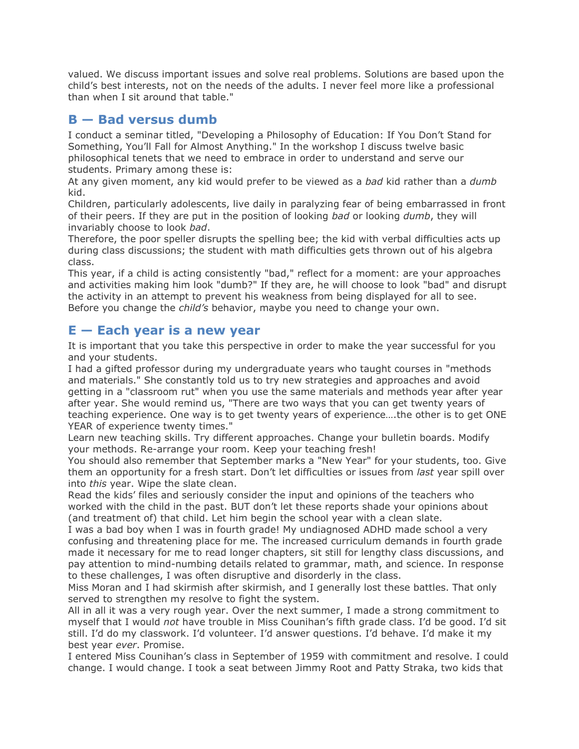valued. We discuss important issues and solve real problems. Solutions are based upon the child's best interests, not on the needs of the adults. I never feel more like a professional than when I sit around that table."

## **B — Bad versus dumb**

I conduct a seminar titled, "Developing a Philosophy of Education: If You Don't Stand for Something, You'll Fall for Almost Anything." In the workshop I discuss twelve basic philosophical tenets that we need to embrace in order to understand and serve our students. Primary among these is:

At any given moment, any kid would prefer to be viewed as a *bad* kid rather than a *dumb* kid.

Children, particularly adolescents, live daily in paralyzing fear of being embarrassed in front of their peers. If they are put in the position of looking *bad* or looking *dumb*, they will invariably choose to look *bad*.

Therefore, the poor speller disrupts the spelling bee; the kid with verbal difficulties acts up during class discussions; the student with math difficulties gets thrown out of his algebra class.

This year, if a child is acting consistently "bad," reflect for a moment: are your approaches and activities making him look "dumb?" If they are, he will choose to look "bad" and disrupt the activity in an attempt to prevent his weakness from being displayed for all to see. Before you change the *child's* behavior, maybe you need to change your own.

#### **E — Each year is a new year**

It is important that you take this perspective in order to make the year successful for you and your students.

I had a gifted professor during my undergraduate years who taught courses in "methods and materials." She constantly told us to try new strategies and approaches and avoid getting in a "classroom rut" when you use the same materials and methods year after year after year. She would remind us, "There are two ways that you can get twenty years of teaching experience. One way is to get twenty years of experience….the other is to get ONE YEAR of experience twenty times."

Learn new teaching skills. Try different approaches. Change your bulletin boards. Modify your methods. Re-arrange your room. Keep your teaching fresh!

You should also remember that September marks a "New Year" for your students, too. Give them an opportunity for a fresh start. Don't let difficulties or issues from *last* year spill over into *this* year. Wipe the slate clean.

Read the kids' files and seriously consider the input and opinions of the teachers who worked with the child in the past. BUT don't let these reports shade your opinions about (and treatment of) that child. Let him begin the school year with a clean slate.

I was a bad boy when I was in fourth grade! My undiagnosed ADHD made school a very confusing and threatening place for me. The increased curriculum demands in fourth grade made it necessary for me to read longer chapters, sit still for lengthy class discussions, and pay attention to mind-numbing details related to grammar, math, and science. In response to these challenges, I was often disruptive and disorderly in the class.

Miss Moran and I had skirmish after skirmish, and I generally lost these battles. That only served to strengthen my resolve to fight the system.

All in all it was a very rough year. Over the next summer, I made a strong commitment to myself that I would *not* have trouble in Miss Counihan's fifth grade class. I'd be good. I'd sit still. I'd do my classwork. I'd volunteer. I'd answer questions. I'd behave. I'd make it my best year *ever*. Promise.

I entered Miss Counihan's class in September of 1959 with commitment and resolve. I could change. I would change. I took a seat between Jimmy Root and Patty Straka, two kids that